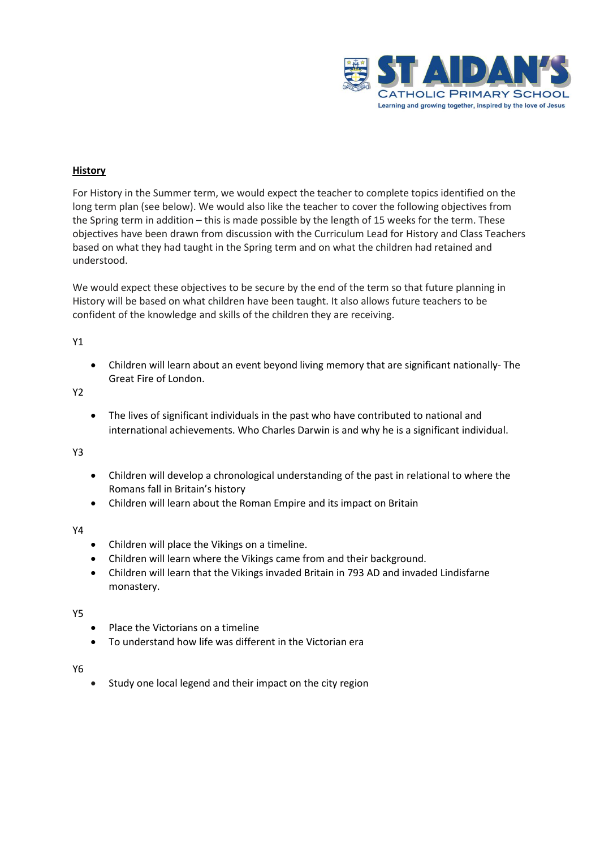

## **History**

For History in the Summer term, we would expect the teacher to complete topics identified on the long term plan (see below). We would also like the teacher to cover the following objectives from the Spring term in addition – this is made possible by the length of 15 weeks for the term. These objectives have been drawn from discussion with the Curriculum Lead for History and Class Teachers based on what they had taught in the Spring term and on what the children had retained and understood.

We would expect these objectives to be secure by the end of the term so that future planning in History will be based on what children have been taught. It also allows future teachers to be confident of the knowledge and skills of the children they are receiving.

## Y1

• Children will learn about an event beyond living memory that are significant nationally- The Great Fire of London.

Y2

• The lives of significant individuals in the past who have contributed to national and international achievements. Who Charles Darwin is and why he is a significant individual.

Y3

- Children will develop a chronological understanding of the past in relational to where the Romans fall in Britain's history
- Children will learn about the Roman Empire and its impact on Britain

## Y4

- Children will place the Vikings on a timeline.
- Children will learn where the Vikings came from and their background.
- Children will learn that the Vikings invaded Britain in 793 AD and invaded Lindisfarne monastery.

Y5

- Place the Victorians on a timeline
- To understand how life was different in the Victorian era

Y6

Study one local legend and their impact on the city region